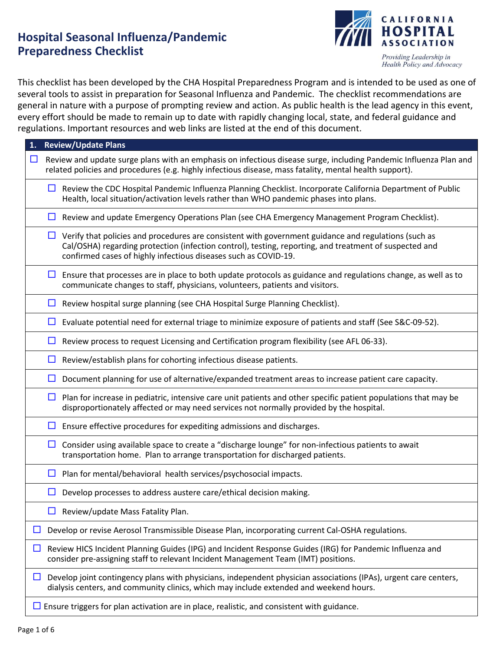# **Hospital Seasonal Influenza/Pandemic Preparedness Checklist**



This checklist has been developed by the CHA Hospital Preparedness Program and is intended to be used as one of several tools to assist in preparation for Seasonal Influenza and Pandemic. The checklist recommendations are general in nature with a purpose of prompting review and action. As public health is the lead agency in this event, every effort should be made to remain up to date with rapidly changing local, state, and federal guidance and regulations. Important resources and web links are listed at the end of this document.

| 1. Review/Update Plans                                                                                                                                                                                                                                                                   |  |  |
|------------------------------------------------------------------------------------------------------------------------------------------------------------------------------------------------------------------------------------------------------------------------------------------|--|--|
| Review and update surge plans with an emphasis on infectious disease surge, including Pandemic Influenza Plan and<br>$\Box$<br>related policies and procedures (e.g. highly infectious disease, mass fatality, mental health support).                                                   |  |  |
| Review the CDC Hospital Pandemic Influenza Planning Checklist. Incorporate California Department of Public<br>⊔<br>Health, local situation/activation levels rather than WHO pandemic phases into plans.                                                                                 |  |  |
| $\Box$ Review and update Emergency Operations Plan (see CHA Emergency Management Program Checklist).                                                                                                                                                                                     |  |  |
| $\Box$ Verify that policies and procedures are consistent with government guidance and regulations (such as<br>Cal/OSHA) regarding protection (infection control), testing, reporting, and treatment of suspected and<br>confirmed cases of highly infectious diseases such as COVID-19. |  |  |
| Ensure that processes are in place to both update protocols as guidance and regulations change, as well as to<br>ப<br>communicate changes to staff, physicians, volunteers, patients and visitors.                                                                                       |  |  |
| $\Box$ Review hospital surge planning (see CHA Hospital Surge Planning Checklist).                                                                                                                                                                                                       |  |  |
| $\Box$ Evaluate potential need for external triage to minimize exposure of patients and staff (See S&C-09-52).                                                                                                                                                                           |  |  |
| Review process to request Licensing and Certification program flexibility (see AFL 06-33).<br>$\Box$                                                                                                                                                                                     |  |  |
| $\Box$<br>Review/establish plans for cohorting infectious disease patients.                                                                                                                                                                                                              |  |  |
| Document planning for use of alternative/expanded treatment areas to increase patient care capacity.<br>$\Box$                                                                                                                                                                           |  |  |
| Plan for increase in pediatric, intensive care unit patients and other specific patient populations that may be<br>$\Box$<br>disproportionately affected or may need services not normally provided by the hospital.                                                                     |  |  |
| Ensure effective procedures for expediting admissions and discharges.<br>$\Box$                                                                                                                                                                                                          |  |  |
| Consider using available space to create a "discharge lounge" for non-infectious patients to await<br>$\Box$<br>transportation home. Plan to arrange transportation for discharged patients.                                                                                             |  |  |
| $\Box$ Plan for mental/behavioral health services/psychosocial impacts.                                                                                                                                                                                                                  |  |  |
| Develop processes to address austere care/ethical decision making.<br>$\Box$                                                                                                                                                                                                             |  |  |
| Review/update Mass Fatality Plan.                                                                                                                                                                                                                                                        |  |  |
| Develop or revise Aerosol Transmissible Disease Plan, incorporating current Cal-OSHA regulations.<br>ப                                                                                                                                                                                   |  |  |
| Review HICS Incident Planning Guides (IPG) and Incident Response Guides (IRG) for Pandemic Influenza and<br>ப<br>consider pre-assigning staff to relevant Incident Management Team (IMT) positions.                                                                                      |  |  |
| Develop joint contingency plans with physicians, independent physician associations (IPAs), urgent care centers,<br>ப<br>dialysis centers, and community clinics, which may include extended and weekend hours.                                                                          |  |  |
| $\Box$ Ensure triggers for plan activation are in place, realistic, and consistent with guidance.                                                                                                                                                                                        |  |  |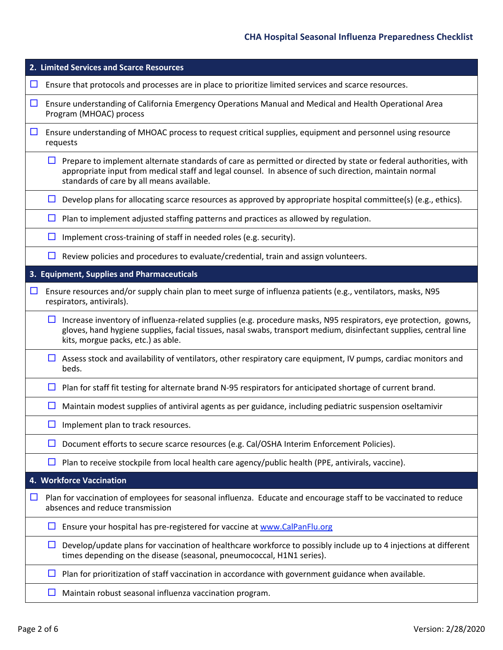| 2. Limited Services and Scarce Resources                                                                                                                                                                                                                                             |  |  |  |  |
|--------------------------------------------------------------------------------------------------------------------------------------------------------------------------------------------------------------------------------------------------------------------------------------|--|--|--|--|
| Ensure that protocols and processes are in place to prioritize limited services and scarce resources.<br>ப                                                                                                                                                                           |  |  |  |  |
| $\Box$<br>Ensure understanding of California Emergency Operations Manual and Medical and Health Operational Area<br>Program (MHOAC) process                                                                                                                                          |  |  |  |  |
| $\Box$<br>Ensure understanding of MHOAC process to request critical supplies, equipment and personnel using resource<br>requests                                                                                                                                                     |  |  |  |  |
| Prepare to implement alternate standards of care as permitted or directed by state or federal authorities, with<br>ப<br>appropriate input from medical staff and legal counsel. In absence of such direction, maintain normal<br>standards of care by all means available.           |  |  |  |  |
| Develop plans for allocating scarce resources as approved by appropriate hospital committee(s) (e.g., ethics).<br>$\Box$                                                                                                                                                             |  |  |  |  |
| Plan to implement adjusted staffing patterns and practices as allowed by regulation.<br>$\Box$                                                                                                                                                                                       |  |  |  |  |
| Implement cross-training of staff in needed roles (e.g. security).<br>ப                                                                                                                                                                                                              |  |  |  |  |
| Review policies and procedures to evaluate/credential, train and assign volunteers.<br>$\Box$                                                                                                                                                                                        |  |  |  |  |
| 3. Equipment, Supplies and Pharmaceuticals                                                                                                                                                                                                                                           |  |  |  |  |
| Ensure resources and/or supply chain plan to meet surge of influenza patients (e.g., ventilators, masks, N95<br>$\Box$<br>respirators, antivirals).                                                                                                                                  |  |  |  |  |
| Increase inventory of influenza-related supplies (e.g. procedure masks, N95 respirators, eye protection, gowns,<br>$\Box$<br>gloves, hand hygiene supplies, facial tissues, nasal swabs, transport medium, disinfectant supplies, central line<br>kits, morgue packs, etc.) as able. |  |  |  |  |
| $\Box$<br>Assess stock and availability of ventilators, other respiratory care equipment, IV pumps, cardiac monitors and<br>beds.                                                                                                                                                    |  |  |  |  |
| Plan for staff fit testing for alternate brand N-95 respirators for anticipated shortage of current brand.<br>□                                                                                                                                                                      |  |  |  |  |
| Maintain modest supplies of antiviral agents as per guidance, including pediatric suspension oseltamivir<br>□                                                                                                                                                                        |  |  |  |  |
| $\Box$ Implement plan to track resources.                                                                                                                                                                                                                                            |  |  |  |  |
| Document efforts to secure scarce resources (e.g. Cal/OSHA Interim Enforcement Policies).                                                                                                                                                                                            |  |  |  |  |
| Plan to receive stockpile from local health care agency/public health (PPE, antivirals, vaccine).<br>ப                                                                                                                                                                               |  |  |  |  |
| 4. Workforce Vaccination                                                                                                                                                                                                                                                             |  |  |  |  |
| Plan for vaccination of employees for seasonal influenza. Educate and encourage staff to be vaccinated to reduce<br>$\Box$<br>absences and reduce transmission                                                                                                                       |  |  |  |  |
| Ensure your hospital has pre-registered for vaccine at www.CalPanFlu.org<br>ப                                                                                                                                                                                                        |  |  |  |  |
| Develop/update plans for vaccination of healthcare workforce to possibly include up to 4 injections at different<br>ப<br>times depending on the disease (seasonal, pneumococcal, H1N1 series).                                                                                       |  |  |  |  |
| Plan for prioritization of staff vaccination in accordance with government guidance when available.<br>ப                                                                                                                                                                             |  |  |  |  |
| Maintain robust seasonal influenza vaccination program.<br>ப                                                                                                                                                                                                                         |  |  |  |  |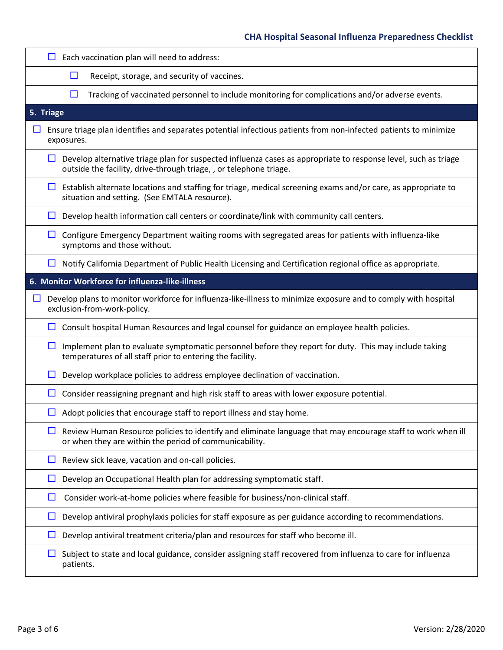| Each vaccination plan will need to address:                                                                                                                                          |
|--------------------------------------------------------------------------------------------------------------------------------------------------------------------------------------|
| □<br>Receipt, storage, and security of vaccines.                                                                                                                                     |
| $\Box$<br>Tracking of vaccinated personnel to include monitoring for complications and/or adverse events.                                                                            |
| 5. Triage                                                                                                                                                                            |
| Ensure triage plan identifies and separates potential infectious patients from non-infected patients to minimize<br>ப<br>exposures.                                                  |
| Develop alternative triage plan for suspected influenza cases as appropriate to response level, such as triage<br>outside the facility, drive-through triage, , or telephone triage. |
| Establish alternate locations and staffing for triage, medical screening exams and/or care, as appropriate to<br>situation and setting. (See EMTALA resource).                       |
| Develop health information call centers or coordinate/link with community call centers.<br>ப                                                                                         |
| Configure Emergency Department waiting rooms with segregated areas for patients with influenza-like<br>⊔<br>symptoms and those without.                                              |
| Notify California Department of Public Health Licensing and Certification regional office as appropriate.<br>ப                                                                       |
| 6. Monitor Workforce for influenza-like-illness                                                                                                                                      |
| Develop plans to monitor workforce for influenza-like-illness to minimize exposure and to comply with hospital<br>ப<br>exclusion-from-work-policy.                                   |
| Consult hospital Human Resources and legal counsel for guidance on employee health policies.<br>⊔ ⊢                                                                                  |
| Implement plan to evaluate symptomatic personnel before they report for duty. This may include taking<br>⊔<br>temperatures of all staff prior to entering the facility.              |
| Develop workplace policies to address employee declination of vaccination.                                                                                                           |
| Consider reassigning pregnant and high risk staff to areas with lower exposure potential.                                                                                            |
| Adopt policies that encourage staff to report illness and stay home.<br>$\Box$                                                                                                       |
| Review Human Resource policies to identify and eliminate language that may encourage staff to work when ill<br>ப<br>or when they are within the period of communicability.           |
| Review sick leave, vacation and on-call policies.<br>ப                                                                                                                               |
| Develop an Occupational Health plan for addressing symptomatic staff.                                                                                                                |
| □<br>Consider work-at-home policies where feasible for business/non-clinical staff.                                                                                                  |
| Develop antiviral prophylaxis policies for staff exposure as per guidance according to recommendations.<br>ப                                                                         |
| Develop antiviral treatment criteria/plan and resources for staff who become ill.                                                                                                    |
| Subject to state and local guidance, consider assigning staff recovered from influenza to care for influenza<br>patients.                                                            |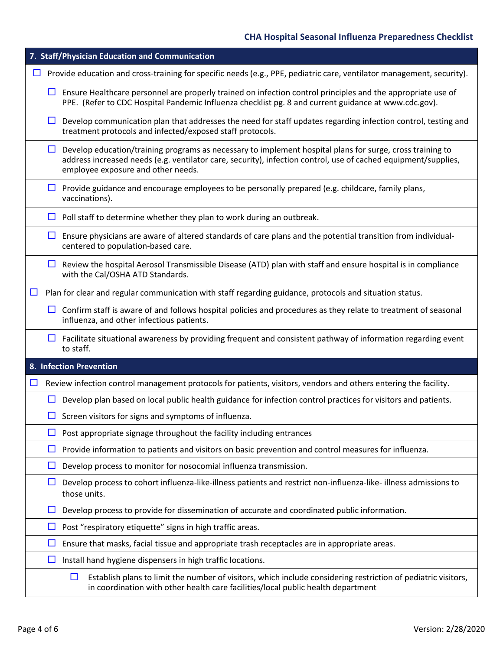|        |        | 7. Staff/Physician Education and Communication                                                                                                                                                                                                                    |
|--------|--------|-------------------------------------------------------------------------------------------------------------------------------------------------------------------------------------------------------------------------------------------------------------------|
| $\Box$ |        | Provide education and cross-training for specific needs (e.g., PPE, pediatric care, ventilator management, security).                                                                                                                                             |
|        | $\Box$ | Ensure Healthcare personnel are properly trained on infection control principles and the appropriate use of<br>PPE. (Refer to CDC Hospital Pandemic Influenza checklist pg. 8 and current guidance at www.cdc.gov).                                               |
|        | $\Box$ | Develop communication plan that addresses the need for staff updates regarding infection control, testing and<br>treatment protocols and infected/exposed staff protocols.                                                                                        |
|        | ப      | Develop education/training programs as necessary to implement hospital plans for surge, cross training to<br>address increased needs (e.g. ventilator care, security), infection control, use of cached equipment/supplies,<br>employee exposure and other needs. |
|        | ப      | Provide guidance and encourage employees to be personally prepared (e.g. childcare, family plans,<br>vaccinations).                                                                                                                                               |
|        | $\Box$ | Poll staff to determine whether they plan to work during an outbreak.                                                                                                                                                                                             |
|        | $\Box$ | Ensure physicians are aware of altered standards of care plans and the potential transition from individual-<br>centered to population-based care.                                                                                                                |
|        | $\Box$ | Review the hospital Aerosol Transmissible Disease (ATD) plan with staff and ensure hospital is in compliance<br>with the Cal/OSHA ATD Standards.                                                                                                                  |
| $\Box$ |        | Plan for clear and regular communication with staff regarding guidance, protocols and situation status.                                                                                                                                                           |
|        | $\Box$ | Confirm staff is aware of and follows hospital policies and procedures as they relate to treatment of seasonal<br>influenza, and other infectious patients.                                                                                                       |
|        | $\Box$ | Facilitate situational awareness by providing frequent and consistent pathway of information regarding event<br>to staff.                                                                                                                                         |
|        |        | 8. Infection Prevention                                                                                                                                                                                                                                           |
| $\Box$ |        | Review infection control management protocols for patients, visitors, vendors and others entering the facility.                                                                                                                                                   |
|        | ப      | Develop plan based on local public health guidance for infection control practices for visitors and patients.                                                                                                                                                     |
|        |        | $\Box$ Screen visitors for signs and symptoms of influenza                                                                                                                                                                                                        |
|        | ப      | Post appropriate signage throughout the facility including entrances                                                                                                                                                                                              |
|        | ப      | Provide information to patients and visitors on basic prevention and control measures for influenza.                                                                                                                                                              |
|        | ப      | Develop process to monitor for nosocomial influenza transmission.                                                                                                                                                                                                 |
|        | ப      | Develop process to cohort influenza-like-illness patients and restrict non-influenza-like-illness admissions to<br>those units.                                                                                                                                   |
|        | ப      | Develop process to provide for dissemination of accurate and coordinated public information.                                                                                                                                                                      |
|        | ப      | Post "respiratory etiquette" signs in high traffic areas.                                                                                                                                                                                                         |
|        | ப      | Ensure that masks, facial tissue and appropriate trash receptacles are in appropriate areas.                                                                                                                                                                      |
|        | $\Box$ | Install hand hygiene dispensers in high traffic locations.                                                                                                                                                                                                        |
|        |        | Establish plans to limit the number of visitors, which include considering restriction of pediatric visitors,<br>$\Box$<br>in coordination with other health care facilities/local public health department                                                       |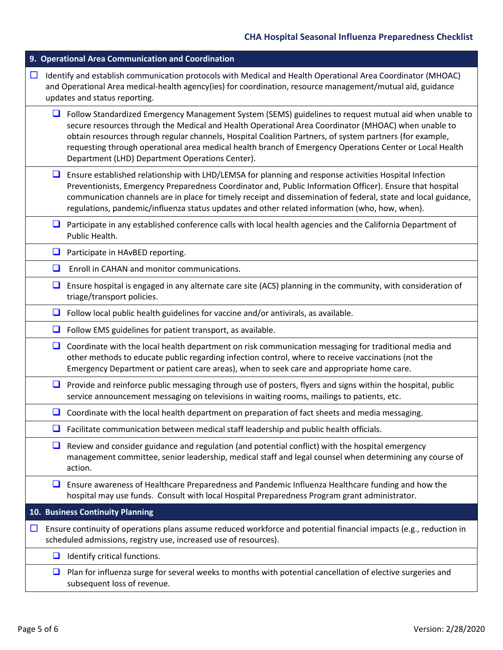|        | 9. Operational Area Communication and Coordination                                                                                                                                                                                                                                                                                                                                                                                                                                       |  |  |  |
|--------|------------------------------------------------------------------------------------------------------------------------------------------------------------------------------------------------------------------------------------------------------------------------------------------------------------------------------------------------------------------------------------------------------------------------------------------------------------------------------------------|--|--|--|
| $\Box$ | Identify and establish communication protocols with Medical and Health Operational Area Coordinator (MHOAC)<br>and Operational Area medical-health agency(ies) for coordination, resource management/mutual aid, guidance<br>updates and status reporting.                                                                                                                                                                                                                               |  |  |  |
| ⊔      | Follow Standardized Emergency Management System (SEMS) guidelines to request mutual aid when unable to<br>secure resources through the Medical and Health Operational Area Coordinator (MHOAC) when unable to<br>obtain resources through regular channels, Hospital Coalition Partners, of system partners (for example,<br>requesting through operational area medical health branch of Emergency Operations Center or Local Health<br>Department (LHD) Department Operations Center). |  |  |  |
| $\Box$ | Ensure established relationship with LHD/LEMSA for planning and response activities Hospital Infection<br>Preventionists, Emergency Preparedness Coordinator and, Public Information Officer). Ensure that hospital<br>communication channels are in place for timely receipt and dissemination of federal, state and local guidance,<br>regulations, pandemic/influenza status updates and other related information (who, how, when).                                                  |  |  |  |
| ❏      | Participate in any established conference calls with local health agencies and the California Department of<br>Public Health.                                                                                                                                                                                                                                                                                                                                                            |  |  |  |
| ❏      | Participate in HAvBED reporting.                                                                                                                                                                                                                                                                                                                                                                                                                                                         |  |  |  |
| ❏      | Enroll in CAHAN and monitor communications.                                                                                                                                                                                                                                                                                                                                                                                                                                              |  |  |  |
| $\Box$ | Ensure hospital is engaged in any alternate care site (ACS) planning in the community, with consideration of<br>triage/transport policies.                                                                                                                                                                                                                                                                                                                                               |  |  |  |
| $\Box$ | Follow local public health guidelines for vaccine and/or antivirals, as available.                                                                                                                                                                                                                                                                                                                                                                                                       |  |  |  |
| ⊔      | Follow EMS guidelines for patient transport, as available.                                                                                                                                                                                                                                                                                                                                                                                                                               |  |  |  |
| $\Box$ | Coordinate with the local health department on risk communication messaging for traditional media and<br>other methods to educate public regarding infection control, where to receive vaccinations (not the<br>Emergency Department or patient care areas), when to seek care and appropriate home care.                                                                                                                                                                                |  |  |  |
| $\Box$ | Provide and reinforce public messaging through use of posters, flyers and signs within the hospital, public<br>service announcement messaging on televisions in waiting rooms, mailings to patients, etc.                                                                                                                                                                                                                                                                                |  |  |  |
| ⊔      | Coordinate with the local health department on preparation of fact sheets and media messaging.                                                                                                                                                                                                                                                                                                                                                                                           |  |  |  |
|        | Facilitate communication between medical staff leadership and public health officials.                                                                                                                                                                                                                                                                                                                                                                                                   |  |  |  |
| ⊔      | Review and consider guidance and regulation (and potential conflict) with the hospital emergency<br>management committee, senior leadership, medical staff and legal counsel when determining any course of<br>action.                                                                                                                                                                                                                                                                   |  |  |  |
| ⊔      | Ensure awareness of Healthcare Preparedness and Pandemic Influenza Healthcare funding and how the<br>hospital may use funds. Consult with local Hospital Preparedness Program grant administrator.                                                                                                                                                                                                                                                                                       |  |  |  |
|        | 10. Business Continuity Planning                                                                                                                                                                                                                                                                                                                                                                                                                                                         |  |  |  |
| $\Box$ | Ensure continuity of operations plans assume reduced workforce and potential financial impacts (e.g., reduction in<br>scheduled admissions, registry use, increased use of resources).                                                                                                                                                                                                                                                                                                   |  |  |  |
| u      | Identify critical functions.                                                                                                                                                                                                                                                                                                                                                                                                                                                             |  |  |  |
| □      | Plan for influenza surge for several weeks to months with potential cancellation of elective surgeries and<br>subsequent loss of revenue.                                                                                                                                                                                                                                                                                                                                                |  |  |  |